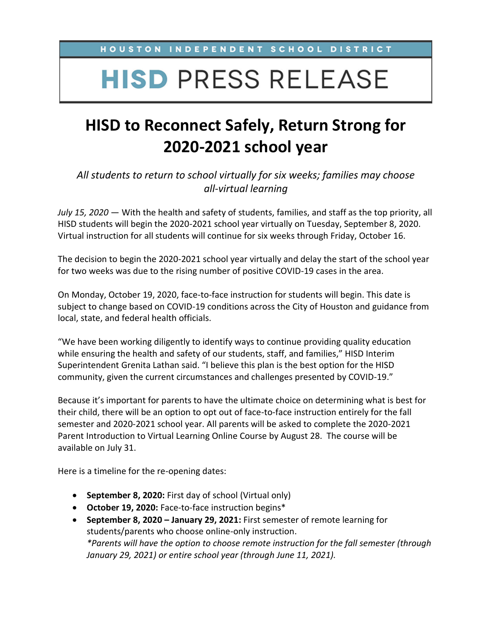HOUSTON INDEPENDENT SCHOOL DISTRICT

## **HISD PRESS RELEASE**

## **HISD to Reconnect Safely, Return Strong for 2020-2021 school year**

*All students to return to school virtually for six weeks; families may choose all-virtual learning*

*July 15, 2020* — With the health and safety of students, families, and staff as the top priority, all HISD students will begin the 2020-2021 school year virtually on Tuesday, September 8, 2020. Virtual instruction for all students will continue for six weeks through Friday, October 16.

The decision to begin the 2020-2021 school year virtually and delay the start of the school year for two weeks was due to the rising number of positive COVID-19 cases in the area.

On Monday, October 19, 2020, face-to-face instruction for students will begin. This date is subject to change based on COVID-19 conditions across the City of Houston and guidance from local, state, and federal health officials.

"We have been working diligently to identify ways to continue providing quality education while ensuring the health and safety of our students, staff, and families," HISD Interim Superintendent Grenita Lathan said. "I believe this plan is the best option for the HISD community, given the current circumstances and challenges presented by COVID-19."

Because it's important for parents to have the ultimate choice on determining what is best for their child, there will be an option to opt out of face-to-face instruction entirely for the fall semester and 2020-2021 school year. All parents will be asked to complete the 2020-2021 Parent Introduction to Virtual Learning Online Course by August 28. The course will be available on July 31.

Here is a timeline for the re-opening dates:

- **September 8, 2020:** First day of school (Virtual only)
- **October 19, 2020:** Face-to-face instruction begins\*
- **September 8, 2020 – January 29, 2021:** First semester of remote learning for students/parents who choose online-only instruction. *\*Parents will have the option to choose remote instruction for the fall semester (through January 29, 2021) or entire school year (through June 11, 2021).*